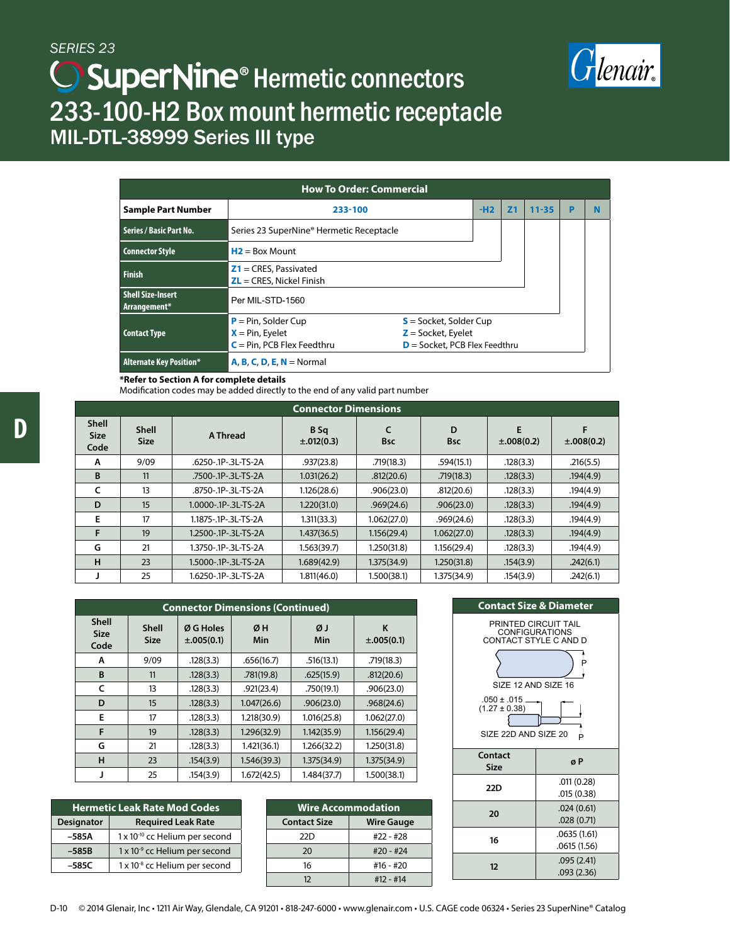

# **SuperNine<sup>®</sup> Hermetic connectors** 233-100-H2 Box mount hermetic receptacle MIL-DTL-38999 Series III type

| <b>How To Order: Commercial</b>          |                                                                               |                                                                                     |  |                |           |  |  |  |
|------------------------------------------|-------------------------------------------------------------------------------|-------------------------------------------------------------------------------------|--|----------------|-----------|--|--|--|
| <b>Sample Part Number</b>                | 233-100                                                                       |                                                                                     |  | Z <sub>1</sub> | $11 - 35$ |  |  |  |
| Series / Basic Part No.                  | Series 23 SuperNine® Hermetic Receptacle                                      |                                                                                     |  |                |           |  |  |  |
| <b>Connector Style</b>                   | $H2 = Box Mount$                                                              |                                                                                     |  |                |           |  |  |  |
| <b>Finish</b>                            | $Z1 = CRES$ , Passivated<br>$\mathsf{ZL} = \mathsf{CRES}$ , Nickel Finish     |                                                                                     |  |                |           |  |  |  |
| <b>Shell Size-Insert</b><br>Arrangement* | Per MIL-STD-1560                                                              |                                                                                     |  |                |           |  |  |  |
| <b>Contact Type</b>                      | $P = Pin$ , Solder Cup<br>$X = Pin$ , Eyelet<br>$C = Pin$ , PCB Flex Feedthru | $S =$ Socket, Solder Cup<br>$Z =$ Socket, Eyelet<br>$D =$ Socket, PCB Flex Feedthru |  |                |           |  |  |  |
| <b>Alternate Key Position*</b>           | $A, B, C, D, E, N = Normal$                                                   |                                                                                     |  |                |           |  |  |  |

#### **\*Refer to Section A for complete details**

Modification codes may be added directly to the end of any valid part number

| <b>Connector Dimensions</b>         |                             |                      |                                    |             |                 |                      |                      |  |  |
|-------------------------------------|-----------------------------|----------------------|------------------------------------|-------------|-----------------|----------------------|----------------------|--|--|
| <b>Shell</b><br><b>Size</b><br>Code | <b>Shell</b><br><b>Size</b> | A Thread             | B <sub>Sq</sub><br>$\pm .012(0.3)$ | <b>Bsc</b>  | D<br><b>Bsc</b> | E<br>$\pm .008(0.2)$ | F<br>$\pm .008(0.2)$ |  |  |
| A                                   | 9/09                        | .6250-.1P-.3L-TS-2A  | .937(23.8)                         | .719(18.3)  | .594(15.1)      | .128(3.3)            | .216(5.5)            |  |  |
| B                                   | 11                          | .7500-.1P-.3L-TS-2A  | 1.031(26.2)                        | .812(20.6)  | .719(18.3)      | .128(3.3)            | .194(4.9)            |  |  |
| c                                   | 13                          | .8750-.1P-.3L-TS-2A  | 1.126(28.6)                        | .906(23.0)  | .812(20.6)      | .128(3.3)            | .194(4.9)            |  |  |
| D                                   | 15                          | 1.0000-.1P-.3L-TS-2A | 1.220(31.0)                        | .969(24.6)  | .906(23.0)      | .128(3.3)            | .194(4.9)            |  |  |
| E                                   | 17                          | 1.1875-.1P-.3L-TS-2A | 1.311(33.3)                        | 1.062(27.0) | .969(24.6)      | .128(3.3)            | .194(4.9)            |  |  |
| F                                   | 19                          | 1.2500-.1P-.3L-TS-2A | 1.437(36.5)                        | 1.156(29.4) | 1.062(27.0)     | .128(3.3)            | .194(4.9)            |  |  |
| G                                   | 21                          | 1.3750-.1P-.3L-TS-2A | 1.563(39.7)                        | 1.250(31.8) | 1.156(29.4)     | .128(3.3)            | .194(4.9)            |  |  |
| H                                   | 23                          | 1.5000-.1P-.3L-TS-2A | 1.689(42.9)                        | 1.375(34.9) | 1.250(31.8)     | .154(3.9)            | .242(6.1)            |  |  |
|                                     | 25                          | 1.6250-.1P-.3L-TS-2A | 1.811(46.0)                        | 1.500(38.1) | 1.375(34.9)     | .154(3.9)            | .242(6.1)            |  |  |

| <b>Connector Dimensions (Continued)</b> |                             |                              |             |             |                      |  |  |
|-----------------------------------------|-----------------------------|------------------------------|-------------|-------------|----------------------|--|--|
| <b>Shell</b><br><b>Size</b><br>Code     | <b>Shell</b><br><b>Size</b> | Ø G Holes<br>$\pm .005(0.1)$ | ØH<br>Min   | ØJ<br>Min   | K<br>$\pm .005(0.1)$ |  |  |
| A                                       | 9/09                        | .128(3.3)                    | .656(16.7)  | .516(13.1)  | .719(18.3)           |  |  |
| B                                       | 11                          | .128(3.3)                    | .781(19.8)  | .625(15.9)  | .812(20.6)           |  |  |
| C                                       | 13                          | .128(3.3)                    | .921(23.4)  | .750(19.1)  | .906(23.0)           |  |  |
| D                                       | 15                          | .128(3.3)                    | 1.047(26.6) | .906(23.0)  | .968(24.6)           |  |  |
| E                                       | 17                          | .128(3.3)                    | 1.218(30.9) | 1.016(25.8) | 1.062(27.0)          |  |  |
| F                                       | 19                          | .128(3.3)                    | 1.296(32.9) | 1.142(35.9) | 1.156(29.4)          |  |  |
| G                                       | 21                          | .128(3.3)                    | 1.421(36.1) | 1.266(32.2) | 1,250(31.8)          |  |  |
| н                                       | 23                          | .154(3.9)                    | 1.546(39.3) | 1.375(34.9) | 1.375(34.9)          |  |  |
| J                                       | 25                          | .154(3.9)                    | 1.672(42.5) | 1.484(37.7) | 1.500(38.1)          |  |  |

| <b>Hermetic Leak Rate Mod Codes</b> |                                            |  |  |  |
|-------------------------------------|--------------------------------------------|--|--|--|
| <b>Designator</b>                   | <b>Required Leak Rate</b>                  |  |  |  |
| -585A                               | 1 x 10 <sup>-10</sup> cc Helium per second |  |  |  |
| $-585B$                             | $1 \times 10^{-9}$ cc Helium per second    |  |  |  |
| $-585C$                             | 1 x 10 <sup>-8</sup> cc Helium per second  |  |  |  |

| <b>Wire Accommodation</b> |                   |  |  |
|---------------------------|-------------------|--|--|
| <b>Contact Size</b>       | <b>Wire Gauge</b> |  |  |
| 22D                       | #22 - #28         |  |  |
| 20                        | $#20 - #24$       |  |  |
| 16                        | #16 - #20         |  |  |
| 12                        | #12 - #14         |  |  |

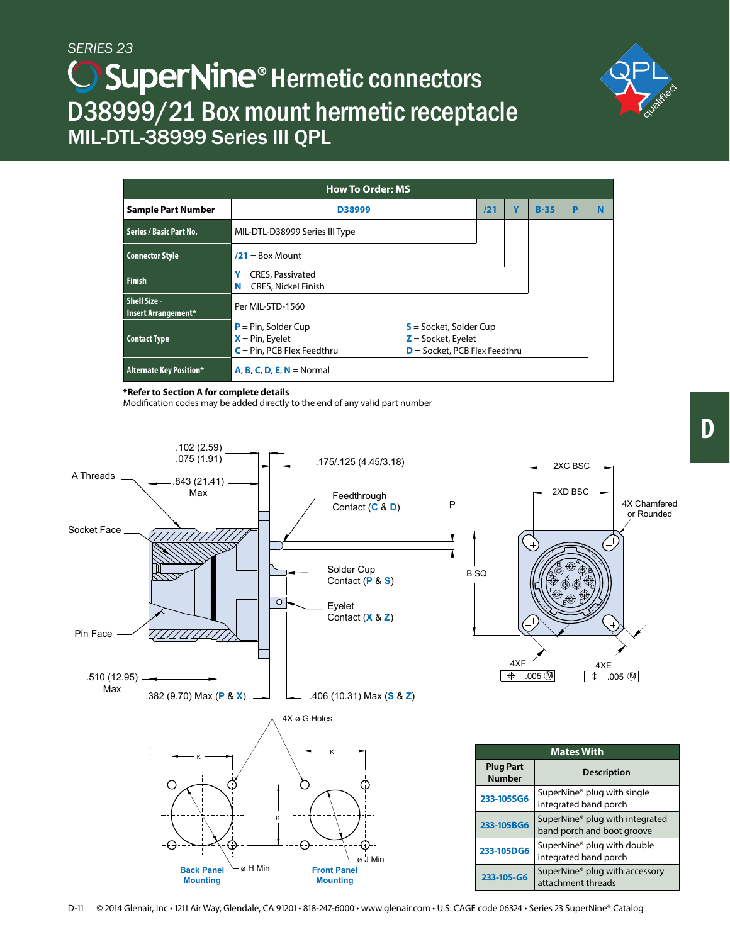# **SuperNine<sup>®</sup> Hermetic connectors** D38999/21 Box mount hermetic receptacle MIL-DTL-38999 Series III QPL



| <b>How To Order: MS</b>             |                                                                               |                                                                                     |  |        |   |   |  |  |
|-------------------------------------|-------------------------------------------------------------------------------|-------------------------------------------------------------------------------------|--|--------|---|---|--|--|
| <b>Sample Part Number</b>           | D38999<br>121                                                                 |                                                                                     |  | $B-35$ | P | N |  |  |
| Series / Basic Part No.             | MIL-DTL-D38999 Series III Type                                                |                                                                                     |  |        |   |   |  |  |
| <b>Connector Style</b>              | $/21 = Box Mount$                                                             |                                                                                     |  |        |   |   |  |  |
| <b>Finish</b>                       | $Y = CRES$ , Passivated<br>$N =$ CRES, Nickel Finish                          |                                                                                     |  |        |   |   |  |  |
| Shell Size -<br>Insert Arrangement* | Per MIL-STD-1560                                                              |                                                                                     |  |        |   |   |  |  |
| <b>Contact Type</b>                 | $P = Pin$ , Solder Cup<br>$X = Pin$ , Eyelet<br>$C = Pin$ , PCB Flex Feedthru | $S =$ Socket, Solder Cup<br>$Z =$ Socket, Eyelet<br>$D =$ Socket, PCB Flex Feedthru |  |        |   |   |  |  |
| <b>Alternate Key Position*</b>      | $A, B, C, D, E, N =$ Normal                                                   |                                                                                     |  |        |   |   |  |  |

#### **\*Refer to Section A for complete details**

Modification codes may be added directly to the end of any valid part number